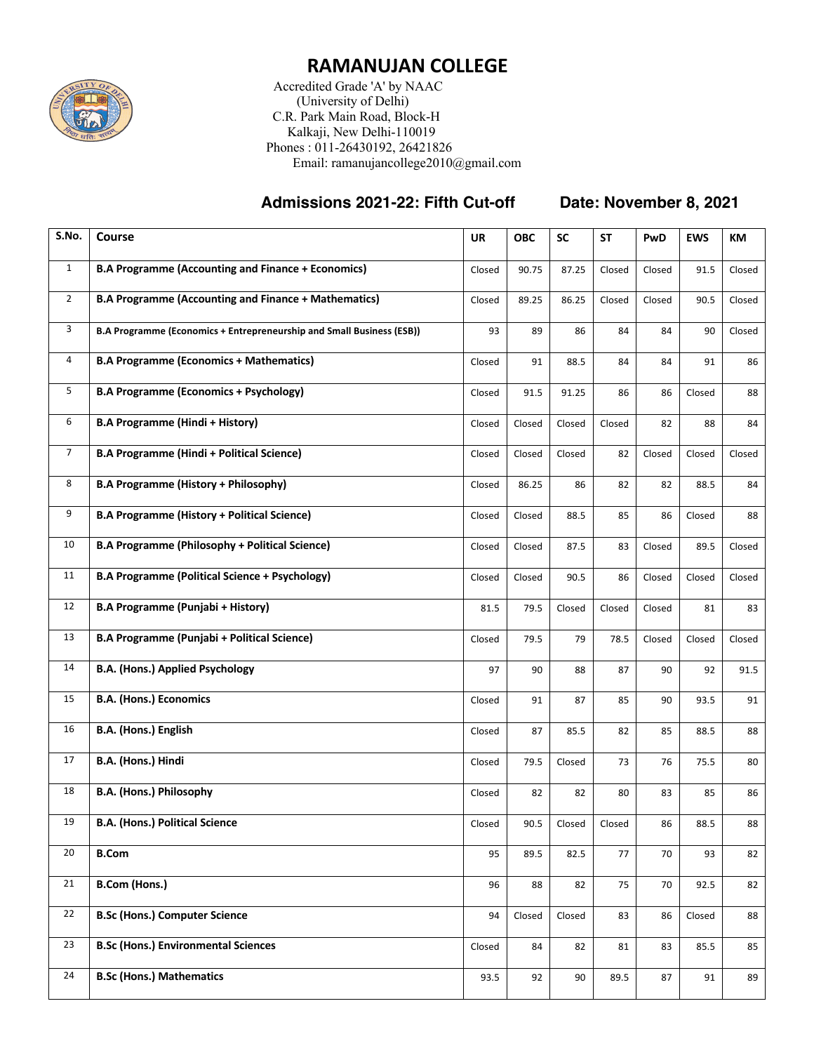

## **RAMANUJAN COLLEGE**

 Accredited Grade 'A' by NAAC (University of Delhi) C.R. Park Main Road, Block-H Kalkaji, New Delhi-110019 Phones : 011-26430192, 26421826 Email: ramanujancollege2010@gmail.com

## **Admissions 2021-22: Fifth Cut-off Date: November 8, 2021**

| S.No.          | Course                                                                | <b>UR</b> | <b>OBC</b> | <b>SC</b> | <b>ST</b> | PwD    | <b>EWS</b> | КM     |
|----------------|-----------------------------------------------------------------------|-----------|------------|-----------|-----------|--------|------------|--------|
| $\mathbf{1}$   | <b>B.A Programme (Accounting and Finance + Economics)</b>             | Closed    | 90.75      | 87.25     | Closed    | Closed | 91.5       | Closed |
| $\overline{2}$ | <b>B.A Programme (Accounting and Finance + Mathematics)</b>           | Closed    | 89.25      | 86.25     | Closed    | Closed | 90.5       | Closed |
| 3              | B.A Programme (Economics + Entrepreneurship and Small Business (ESB)) | 93        | 89         | 86        | 84        | 84     | 90         | Closed |
| 4              | <b>B.A Programme (Economics + Mathematics)</b>                        | Closed    | 91         | 88.5      | 84        | 84     | 91         | 86     |
| 5              | <b>B.A Programme (Economics + Psychology)</b>                         | Closed    | 91.5       | 91.25     | 86        | 86     | Closed     | 88     |
| 6              | <b>B.A Programme (Hindi + History)</b>                                | Closed    | Closed     | Closed    | Closed    | 82     | 88         | 84     |
| $\overline{7}$ | <b>B.A Programme (Hindi + Political Science)</b>                      | Closed    | Closed     | Closed    | 82        | Closed | Closed     | Closed |
| 8              | <b>B.A Programme (History + Philosophy)</b>                           | Closed    | 86.25      | 86        | 82        | 82     | 88.5       | 84     |
| 9              | <b>B.A Programme (History + Political Science)</b>                    | Closed    | Closed     | 88.5      | 85        | 86     | Closed     | 88     |
| 10             | <b>B.A Programme (Philosophy + Political Science)</b>                 | Closed    | Closed     | 87.5      | 83        | Closed | 89.5       | Closed |
| 11             | <b>B.A Programme (Political Science + Psychology)</b>                 | Closed    | Closed     | 90.5      | 86        | Closed | Closed     | Closed |
| 12             | <b>B.A Programme (Punjabi + History)</b>                              | 81.5      | 79.5       | Closed    | Closed    | Closed | 81         | 83     |
| 13             | B.A Programme (Punjabi + Political Science)                           | Closed    | 79.5       | 79        | 78.5      | Closed | Closed     | Closed |
| 14             | <b>B.A. (Hons.) Applied Psychology</b>                                | 97        | 90         | 88        | 87        | 90     | 92         | 91.5   |
| 15             | <b>B.A. (Hons.) Economics</b>                                         | Closed    | 91         | 87        | 85        | 90     | 93.5       | 91     |
| 16             | B.A. (Hons.) English                                                  | Closed    | 87         | 85.5      | 82        | 85     | 88.5       | 88     |
| 17             | B.A. (Hons.) Hindi                                                    | Closed    | 79.5       | Closed    | 73        | 76     | 75.5       | 80     |
| 18             | <b>B.A. (Hons.) Philosophy</b>                                        | Closed    | 82         | 82        | 80        | 83     | 85         | 86     |
| 19             | <b>B.A. (Hons.) Political Science</b>                                 | Closed    | 90.5       | Closed    | Closed    | 86     | 88.5       | 88     |
| 20             | <b>B.Com</b>                                                          | 95        | 89.5       | 82.5      | 77        | 70     | 93         | 82     |
| 21             | <b>B.Com (Hons.)</b>                                                  | 96        | 88         | 82        | 75        | 70     | 92.5       | 82     |
| 22             | <b>B.Sc (Hons.) Computer Science</b>                                  | 94        | Closed     | Closed    | 83        | 86     | Closed     | 88     |
| 23             | <b>B.Sc (Hons.) Environmental Sciences</b>                            | Closed    | 84         | 82        | 81        | 83     | 85.5       | 85     |
| 24             | <b>B.Sc (Hons.) Mathematics</b>                                       | 93.5      | 92         | 90        | 89.5      | 87     | 91         | 89     |